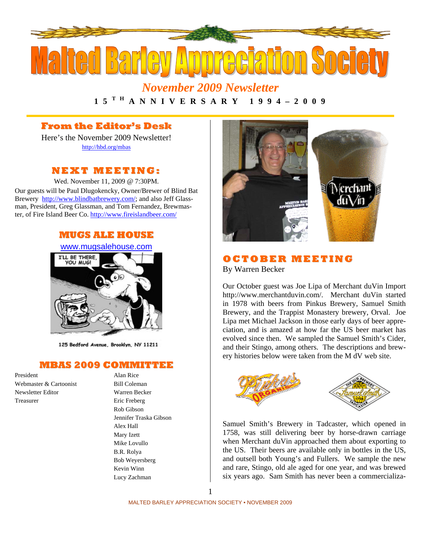

*November 2009 Newsletter*  **1 5 T H A N N I V E R S A R Y 1 9 9 4 – 2 0 0 9** 

#### **From the Editor's Desk**

Here's the November 2009 Newsletter! http://hbd.org/mbas

#### **NEXT MEETI NG:**

Wed. November 11, 2009 @ 7:30PM. Our guests will be Paul Dlugokencky, Owner/Brewer of Blind Bat Brewery http://www.blindbatbrewery.com/; and also Jeff Glassman, President, Greg Glassman, and Tom Fernandez, Brewmaster, of Fire Island Beer Co. http://www.fireislandbeer.com/



125 Bedford Avenue, Brooklyn, NY 11211

#### **MBAS 2009 COMMITTEE**

President Alan Rice Webmaster & Cartoonist Bill Coleman Newsletter Editor Warren Becker Treasurer Eric Freberg

Rob Gibson Jennifer Traska Gibson Alex Hall Mary Izett Mike Lovullo B.R. Rolya Bob Weyersberg Kevin Winn Lucy Zachman



#### **OC TO BE R MEETI NG**

By Warren Becker

Our October guest was Joe Lipa of Merchant duVin Import http://www.merchantduvin.com/. Merchant duVin started in 1978 with beers from Pinkus Brewery, Samuel Smith Brewery, and the Trappist Monastery brewery, Orval. Joe Lipa met Michael Jackson in those early days of beer appreciation, and is amazed at how far the US beer market has evolved since then. We sampled the Samuel Smith's Cider, and their Stingo, among others. The descriptions and brewery histories below were taken from the M dV web site.





Samuel Smith's Brewery in Tadcaster, which opened in 1758, was still delivering beer by horse-drawn carriage when Merchant duVin approached them about exporting to the US. Their beers are available only in bottles in the US, and outsell both Young's and Fullers. We sample the new and rare, Stingo, old ale aged for one year, and was brewed six years ago. Sam Smith has never been a commercializa-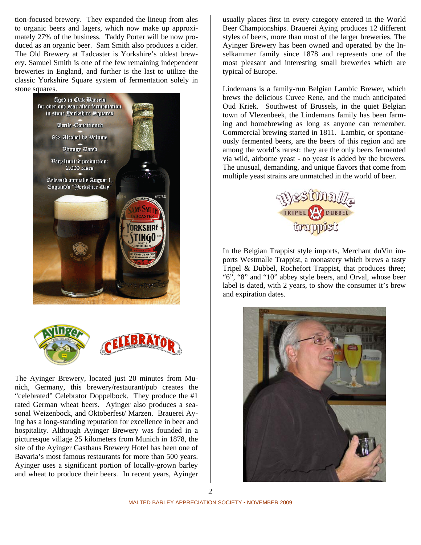tion-focused brewery. They expanded the lineup from ales to organic beers and lagers, which now make up approximately 27% of the business. Taddy Porter will be now produced as an organic beer. Sam Smith also produces a cider. The Old Brewery at Tadcaster is Yorkshire's oldest brewery. Samuel Smith is one of the few remaining independent breweries in England, and further is the last to utilize the classic Yorkshire Square system of fermentation solely in stone squares.





The Ayinger Brewery, located just 20 minutes from Munich, Germany, this brewery/restaurant/pub creates the "celebrated" Celebrator Doppelbock. They produce the #1 rated German wheat beers. Ayinger also produces a seasonal Weizenbock, and Oktoberfest/ Marzen. Brauerei Aying has a long-standing reputation for excellence in beer and hospitality. Although Ayinger Brewery was founded in a picturesque village 25 kilometers from Munich in 1878, the site of the Ayinger Gasthaus Brewery Hotel has been one of Bavaria's most famous restaurants for more than 500 years. Ayinger uses a significant portion of locally-grown barley and wheat to produce their beers. In recent years, Ayinger

usually places first in every category entered in the World Beer Championships. Brauerei Aying produces 12 different styles of beers, more than most of the larger breweries. The Ayinger Brewery has been owned and operated by the Inselkammer family since 1878 and represents one of the most pleasant and interesting small breweries which are typical of Europe.

Lindemans is a family-run Belgian Lambic Brewer, which brews the delicious Cuvee Rene, and the much anticipated Oud Kriek. Southwest of Brussels, in the quiet Belgian town of Vlezenbeek, the Lindemans family has been farming and homebrewing as long as anyone can remember. Commercial brewing started in 1811. Lambic, or spontaneously fermented beers, are the beers of this region and are among the world's rarest: they are the only beers fermented via wild, airborne yeast - no yeast is added by the brewers. The unusual, demanding, and unique flavors that come from multiple yeast strains are unmatched in the world of beer.



In the Belgian Trappist style imports, Merchant duVin imports Westmalle Trappist, a monastery which brews a tasty Tripel & Dubbel, Rochefort Trappist, that produces three; "6", "8" and "10" abbey style beers, and Orval, whose beer label is dated, with 2 years, to show the consumer it's brew and expiration dates.

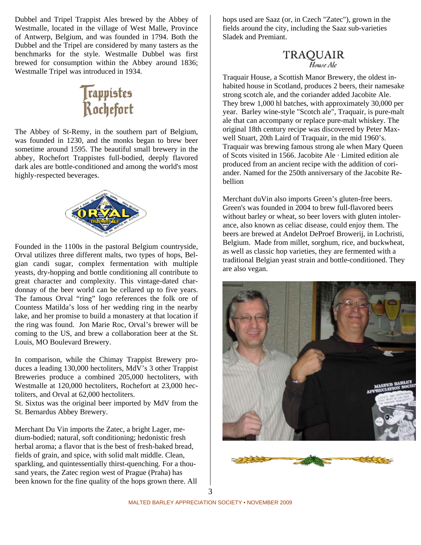Dubbel and Tripel Trappist Ales brewed by the Abbey of Westmalle, located in the village of West Malle, Province of Antwerp, Belgium, and was founded in 1794. Both the Dubbel and the Tripel are considered by many tasters as the benchmarks for the style. Westmalle Dubbel was first brewed for consumption within the Abbey around 1836; Westmalle Tripel was introduced in 1934.

# Trappistes<br>Rochefort

The Abbey of St-Remy, in the southern part of Belgium, was founded in 1230, and the monks began to brew beer sometime around 1595. The beautiful small brewery in the abbey, Rochefort Trappistes full-bodied, deeply flavored dark ales are bottle-conditioned and among the world's most highly-respected beverages.



Founded in the 1100s in the pastoral Belgium countryside, Orval utilizes three different malts, two types of hops, Belgian candi sugar, complex fermentation with multiple yeasts, dry-hopping and bottle conditioning all contribute to great character and complexity. This vintage-dated chardonnay of the beer world can be cellared up to five years. The famous Orval "ring" logo references the folk ore of Countess Matilda's loss of her wedding ring in the nearby lake, and her promise to build a monastery at that location if the ring was found. Jon Marie Roc, Orval's brewer will be coming to the US, and brew a collaboration beer at the St. Louis, MO Boulevard Brewery.

In comparison, while the Chimay Trappist Brewery produces a leading 130,000 hectoliters, MdV's 3 other Trappist Breweries produce a combined 205,000 hectoliters, with Westmalle at 120,000 hectoliters, Rochefort at 23,000 hectoliters, and Orval at 62,000 hectoliters.

St. Sixtus was the original beer imported by MdV from the St. Bernardus Abbey Brewery.

Merchant Du Vin imports the Zatec, a bright Lager, medium-bodied; natural, soft conditioning; hedonistic fresh herbal aroma; a flavor that is the best of fresh-baked bread, fields of grain, and spice, with solid malt middle. Clean, sparkling, and quintessentially thirst-quenching. For a thousand years, the Zatec region west of Prague (Praha) has been known for the fine quality of the hops grown there. All hops used are Saaz (or, in Czech "Zatec"), grown in the fields around the city, including the Saaz sub-varieties Sladek and Premiant.

## **TRAQUAIR**<br>House Ale

Traquair House, a Scottish Manor Brewery, the oldest inhabited house in Scotland, produces 2 beers, their namesake strong scotch ale, and the coriander added Jacobite Ale. They brew 1,000 hl batches, with approximately 30,000 per year. Barley wine-style "Scotch ale", Traquair, is pure-malt ale that can accompany or replace pure-malt whiskey. The original 18th century recipe was discovered by Peter Maxwell Stuart, 20th Laird of Traquair, in the mid 1960's. Traquair was brewing famous strong ale when Mary Queen of Scots visited in 1566. Jacobite Ale · Limited edition ale produced from an ancient recipe with the addition of coriander. Named for the 250th anniversary of the Jacobite Rebellion

Merchant duVin also imports Green's gluten-free beers. Green's was founded in 2004 to brew full-flavored beers without barley or wheat, so beer lovers with gluten intolerance, also known as celiac disease, could enjoy them. The beers are brewed at Andelot DeProef Browerij, in Lochristi, Belgium. Made from millet, sorghum, rice, and buckwheat, as well as classic hop varieties, they are fermented with a traditional Belgian yeast strain and bottle-conditioned. They are also vegan.



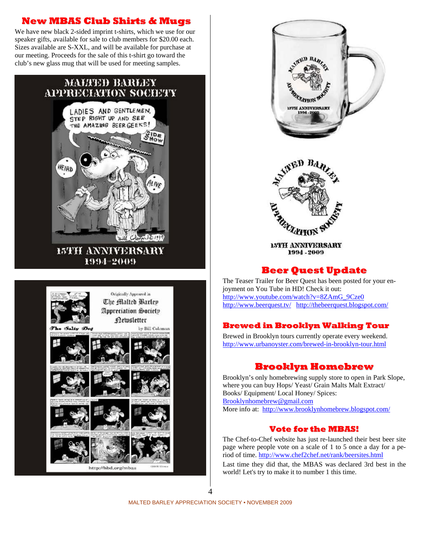#### **New MBAS Club Shirts & Mugs**

We have new black 2-sided imprint t-shirts, which we use for our speaker gifts, available for sale to club members for \$20.00 each. Sizes available are S-XXL, and will be available for purchase at our meeting. Proceeds for the sale of this t-shirt go toward the club's new glass mug that will be used for meeting samples.



**15TH ANNIVERSARY** 1994-2009





#### **Beer Quest Update**

The Teaser Trailer for Beer Quest has been posted for your enjoyment on You Tube in HD! Check it out: http://www.youtube.com/watch?v=8ZAmG\_9Cze0 http://www.beerquest.tv/ http://thebeerquest.blogspot.com/

#### **Brewed in Brooklyn Walking Tour**

Brewed in Brooklyn tours currently operate every weekend. http://www.urbanoyster.com/brewed-in-brooklyn-tour.html

#### **Brooklyn Homebrew**

Brooklyn's only homebrewing supply store to open in Park Slope, where you can buy Hops/ Yeast/ Grain Malts Malt Extract/ Books/ Equipment/ Local Honey/ Spices: Brooklynhomebrew@gmail.com More info at: http://www.brooklynhomebrew.blogspot.com/

#### **Vote for the MBAS!**

The Chef-to-Chef website has just re-launched their best beer site page where people vote on a scale of 1 to 5 once a day for a period of time. http://www.chef2chef.net/rank/beersites.html

Last time they did that, the MBAS was declared 3rd best in the world! Let's try to make it to number 1 this time.

 $\varDelta$ 

MALTED BARLEY APPRECIATION SOCIETY • NOVEMBER 2009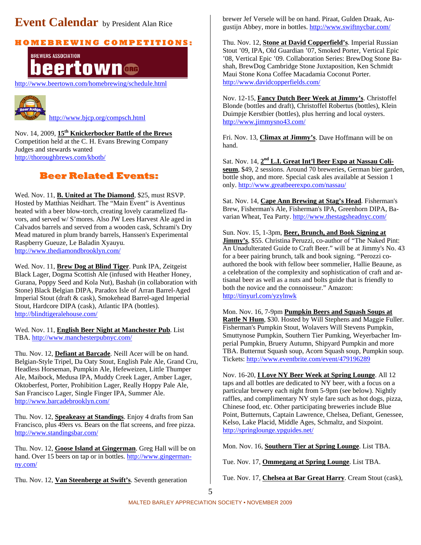### **Event Calendar** by President Alan Rice

#### **H O M E B R E WI N G C O M P E TI TI O N S:**



http://www.beertown.com/homebrewing/schedule.html



http://www.bjcp.org/compsch.html

Nov. 14, 2009, **15th Knickerbocker Battle of the Brews**  Competition held at the C. H. Evans Brewing Company Judges and stewards wanted http://thoroughbrews.com/kbotb/

#### **Beer Related Events:**

Wed. Nov. 11, **B. United at The Diamond**, \$25, must RSVP. Hosted by Matthias Neidhart. The "Main Event" is Aventinus heated with a beer blow-torch, creating lovely caramelized flavors, and served w/ S'mores. Also JW Lees Harvest Ale aged in Calvados barrels and served from a wooden cask, Schrami's Dry Mead matured in plum brandy barrels, Hanssen's Experimental Raspberry Gueuze, Le Baladin Xyauyu. http://www.thediamondbrooklyn.com/

Wed. Nov. 11, **Brew Dog at Blind Tiger**. Punk IPA, Zeitgeist Black Lager, Dogma Scottish Ale (infused with Heather Honey, Gurana, Poppy Seed and Kola Nut), Bashah (in collaboration with Stone) Black Belgian DIPA, Paradox Isle of Arran Barrel-Aged Imperial Stout (draft & cask), Smokehead Barrel-aged Imperial Stout, Hardcore DIPA (cask), Atlantic IPA (bottles). http://blindtigeralehouse.com/

Wed. Nov. 11, **English Beer Night at Manchester Pub**. List TBA. http://www.manchesterpubnyc.com/

Thu. Nov. 12, **Defiant at Barcade**. Neill Acer will be on hand. Belgian-Style Tripel, Da Oaty Stout, English Pale Ale, Grand Cru, Headless Horseman, Pumpkin Ale, Hefeweizen, Little Thumper Ale, Maibock, Medusa IPA, Muddy Creek Lager, Amber Lager, Oktoberfest, Porter, Prohibition Lager, Really Hoppy Pale Ale, San Francisco Lager, Single Finger IPA, Summer Ale. http://www.barcadebrooklyn.com/

Thu. Nov. 12, **Speakeasy at Standings**. Enjoy 4 drafts from San Francisco, plus 49ers vs. Bears on the flat screens, and free pizza. http://www.standingsbar.com/

Thu. Nov. 12, **Goose Island at Gingerman**. Greg Hall will be on hand. Over 15 beers on tap or in bottles. http://www.gingermanny.com/

Thu. Nov. 12, **Van Steenberge at Swift's**. Seventh generation

brewer Jef Versele will be on hand. Piraat, Gulden Draak, Augustijn Abbey, more in bottles. http://www.swiftnycbar.com/

Thu. Nov. 12, **Stone at David Copperfield's**. Imperial Russian Stout '09, IPA, Old Guardian '07, Smoked Porter, Vertical Epic '08, Vertical Epic '09. Collaboration Series: BrewDog Stone Bashah, BrewDog Cambridge Stone Juxtaposition, Ken Schmidt Maui Stone Kona Coffee Macadamia Coconut Porter. http://www.davidcopperfields.com/

Nov. 12-15, **Fancy Dutch Beer Week at Jimmy's**. Christoffel Blonde (bottles and draft), Christoffel Robertus (bottles), Klein Duimpje Kerstbier (bottles), plus herring and local oysters. http://www.jimmysno43.com/

Fri. Nov. 13, **Climax at Jimmy's**. Dave Hoffmann will be on hand.

Sat. Nov. 14, **2nd L.I. Great Int'l Beer Expo at Nassau Coliseum**, \$49, 2 sessions. Around 70 breweries, German bier garden, bottle shop, and more. Special cask ales available at Session 1 only. http://www.greatbeerexpo.com/nassau/

Sat. Nov. 14, **Cape Ann Brewing at Stag's Head**. Fisherman's Brew, Fisherman's Ale, Fisherman's IPA, Greenhorn DIPA, Bavarian Wheat, Tea Party. http://www.thestagsheadnyc.com/

Sun. Nov. 15, 1-3pm, **Beer, Brunch, and Book Signing at Jimmy's**, \$55. Christina Peruzzi, co-author of "The Naked Pint: An Unadulterated Guide to Craft Beer." will be at Jimmy's No. 43 for a beer pairing brunch, talk and book signing. "Perozzi coauthored the book with fellow beer sommelier, Hallie Beaune, as a celebration of the complexity and sophistication of craft and artisanal beer as well as a nuts and bolts guide that is friendly to both the novice and the connoisseur." Amazon: http://tinyurl.com/yzylnwk

Mon. Nov. 16, 7-9pm **Pumpkin Beers and Squash Soups at Rattle N Hum**, \$30. Hosted by Will Stephens and Maggie Fuller. Fisherman's Pumpkin Stout, Wolavers Will Stevens Pumpkin, Smuttynose Pumpkin, Southern Tier Pumking, Weyerbacher Imperial Pumpkin, Bruery Autumn, Shipyard Pumpkin and more TBA. Butternut Squash soup, Acorn Squash soup, Pumpkin soup. Tickets: http://www.eventbrite.com/event/479196289

Nov. 16-20, **I Love NY Beer Week at Spring Lounge**. All 12 taps and all bottles are dedicated to NY beer, with a focus on a particular brewery each night from 5-9pm (see below). Nightly raffles, and complimentary NY style fare such as hot dogs, pizza, Chinese food, etc. Other participating breweries include Blue Point, Butternuts, Captain Lawrence, Chelsea, Defiant, Genessee, Kelso, Lake Placid, Middle Ages, Schmaltz, and Sixpoint. http://springlounge.ypguides.net/

Mon. Nov. 16, **Southern Tier at Spring Lounge**. List TBA.

Tue. Nov. 17, **Ommegang at Spring Lounge**. List TBA.

Tue. Nov. 17, **Chelsea at Bar Great Harry**. Cream Stout (cask),